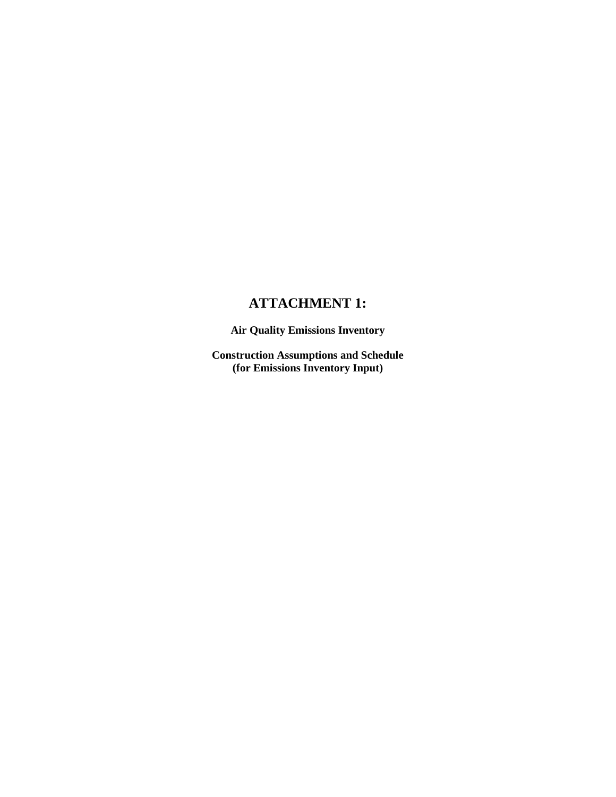## **ATTACHMENT 1:**

**Air Quality Emissions Inventory** 

**Construction Assumptions and Schedule (for Emissions Inventory Input)**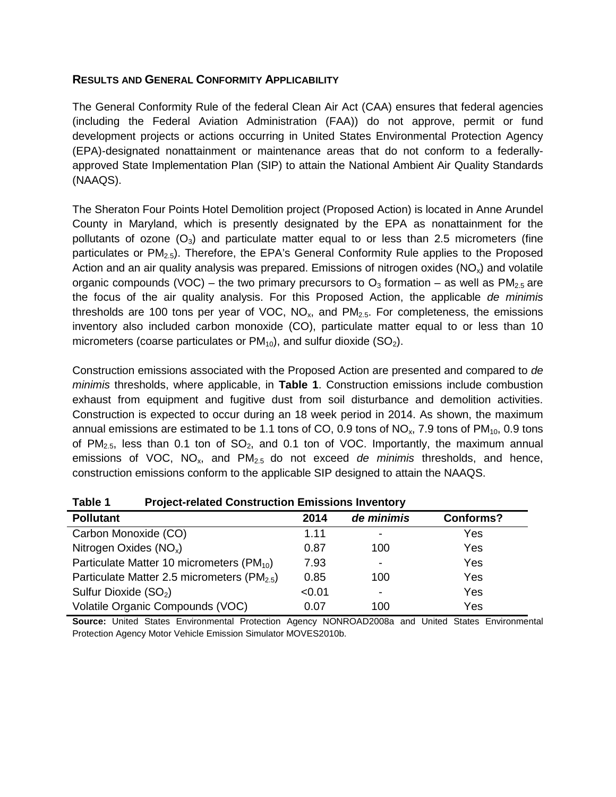#### **RESULTS AND GENERAL CONFORMITY APPLICABILITY**

The General Conformity Rule of the federal Clean Air Act (CAA) ensures that federal agencies (including the Federal Aviation Administration (FAA)) do not approve, permit or fund development projects or actions occurring in United States Environmental Protection Agency (EPA)-designated nonattainment or maintenance areas that do not conform to a federallyapproved State Implementation Plan (SIP) to attain the National Ambient Air Quality Standards (NAAQS).

The Sheraton Four Points Hotel Demolition project (Proposed Action) is located in Anne Arundel County in Maryland, which is presently designated by the EPA as nonattainment for the pollutants of ozone  $(O_3)$  and particulate matter equal to or less than 2.5 micrometers (fine particulates or PM<sub>2.5</sub>). Therefore, the EPA's General Conformity Rule applies to the Proposed Action and an air quality analysis was prepared. Emissions of nitrogen oxides ( $NO_x$ ) and volatile organic compounds (VOC) – the two primary precursors to  $O_3$  formation – as well as PM<sub>2.5</sub> are the focus of the air quality analysis. For this Proposed Action, the applicable *de minimis* thresholds are 100 tons per year of VOC,  $NO<sub>x</sub>$ , and  $PM<sub>2.5</sub>$ . For completeness, the emissions inventory also included carbon monoxide (CO), particulate matter equal to or less than 10 micrometers (coarse particulates or  $PM_{10}$ ), and sulfur dioxide (SO<sub>2</sub>).

Construction emissions associated with the Proposed Action are presented and compared to *de minimis* thresholds, where applicable, in **Table 1**. Construction emissions include combustion exhaust from equipment and fugitive dust from soil disturbance and demolition activities. Construction is expected to occur during an 18 week period in 2014. As shown, the maximum annual emissions are estimated to be 1.1 tons of CO, 0.9 tons of  $NO<sub>x</sub>$ , 7.9 tons of  $PM<sub>10</sub>$ , 0.9 tons of PM<sub>2.5</sub>, less than 0.1 ton of SO<sub>2</sub>, and 0.1 ton of VOC. Importantly, the maximum annual emissions of VOC, NOx, and PM2.5 do not exceed *de minimis* thresholds, and hence, construction emissions conform to the applicable SIP designed to attain the NAAQS.

| <b>Pollutant</b>                                        | 2014   | de minimis               | <b>Conforms?</b> |
|---------------------------------------------------------|--------|--------------------------|------------------|
|                                                         |        |                          |                  |
| Carbon Monoxide (CO)                                    | 1.11   | $\overline{\phantom{a}}$ | Yes              |
| Nitrogen Oxides $(NO_x)$                                | 0.87   | 100                      | Yes              |
| Particulate Matter 10 micrometers (PM <sub>10</sub> )   | 7.93   | $\overline{\phantom{a}}$ | Yes              |
| Particulate Matter 2.5 micrometers (PM <sub>2.5</sub> ) | 0.85   | 100                      | Yes              |
| Sulfur Dioxide (SO <sub>2</sub> )                       | < 0.01 | $\,$                     | Yes              |
| Volatile Organic Compounds (VOC)                        | 0.07   | 100                      | Yes              |

**Table 1 Project-related Construction Emissions Inventory**

**Source:** United States Environmental Protection Agency NONROAD2008a and United States Environmental Protection Agency Motor Vehicle Emission Simulator MOVES2010b.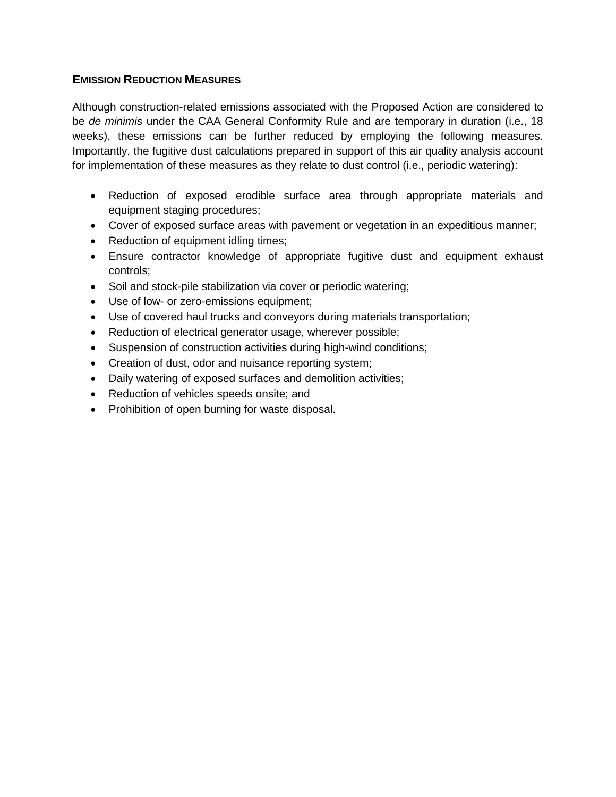#### **EMISSION REDUCTION MEASURES**

Although construction-related emissions associated with the Proposed Action are considered to be *de minimis* under the CAA General Conformity Rule and are temporary in duration (i.e., 18 weeks), these emissions can be further reduced by employing the following measures. Importantly, the fugitive dust calculations prepared in support of this air quality analysis account for implementation of these measures as they relate to dust control (i.e., periodic watering):

- Reduction of exposed erodible surface area through appropriate materials and equipment staging procedures;
- Cover of exposed surface areas with pavement or vegetation in an expeditious manner;
- Reduction of equipment idling times;
- Ensure contractor knowledge of appropriate fugitive dust and equipment exhaust controls;
- Soil and stock-pile stabilization via cover or periodic watering;
- Use of low- or zero-emissions equipment;
- Use of covered haul trucks and conveyors during materials transportation;
- Reduction of electrical generator usage, wherever possible;
- Suspension of construction activities during high-wind conditions;
- Creation of dust, odor and nuisance reporting system;
- Daily watering of exposed surfaces and demolition activities;
- Reduction of vehicles speeds onsite; and
- Prohibition of open burning for waste disposal.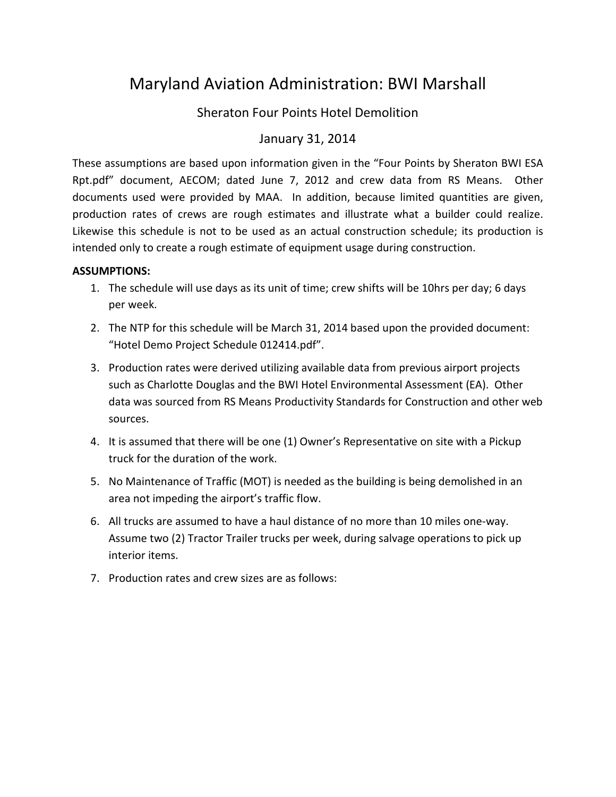# Maryland Aviation Administration: BWI Marshall

## Sheraton Four Points Hotel Demolition

## January 31, 2014

These assumptions are based upon information given in the "Four Points by Sheraton BWI ESA Rpt.pdf" document, AECOM; dated June 7, 2012 and crew data from RS Means. Other documents used were provided by MAA. In addition, because limited quantities are given, production rates of crews are rough estimates and illustrate what a builder could realize. Likewise this schedule is not to be used as an actual construction schedule; its production is intended only to create a rough estimate of equipment usage during construction.

#### **ASSUMPTIONS:**

- 1. The schedule will use days as its unit of time; crew shifts will be 10hrs per day; 6 days per week.
- 2. The NTP for this schedule will be March 31, 2014 based upon the provided document: "Hotel Demo Project Schedule 012414.pdf".
- 3. Production rates were derived utilizing available data from previous airport projects such as Charlotte Douglas and the BWI Hotel Environmental Assessment (EA). Other data was sourced from RS Means Productivity Standards for Construction and other web sources.
- 4. It is assumed that there will be one (1) Owner's Representative on site with a Pickup truck for the duration of the work.
- 5. No Maintenance of Traffic (MOT) is needed as the building is being demolished in an area not impeding the airport's traffic flow.
- 6. All trucks are assumed to have a haul distance of no more than 10 miles one-way. Assume two (2) Tractor Trailer trucks per week, during salvage operations to pick up interior items.
- 7. Production rates and crew sizes are as follows: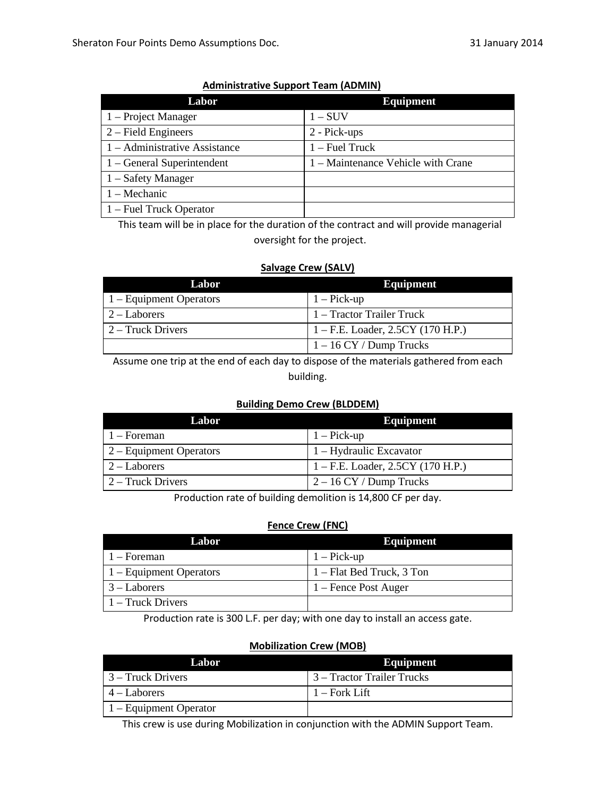| Labor                         | <b>Equipment</b>                   |
|-------------------------------|------------------------------------|
| 1 – Project Manager           | $1-SUV$                            |
| $2$ – Field Engineers         | 2 - Pick-ups                       |
| 1 – Administrative Assistance | $1 -$ Fuel Truck                   |
| $1 -$ General Superintendent  | 1 – Maintenance Vehicle with Crane |
| $1 -$ Safety Manager          |                                    |
| 1 – Mechanic                  |                                    |
| 1 – Fuel Truck Operator       |                                    |

#### **Administrative Support Team (ADMIN)**

This team will be in place for the duration of the contract and will provide managerial oversight for the project.

#### **Salvage Crew (SALV)**

| Labor                   | <b>Equipment</b>                    |
|-------------------------|-------------------------------------|
| 1 – Equipment Operators | $1 - Pick-up$                       |
| $2 -$ Laborers          | 1 – Tractor Trailer Truck           |
| 2 – Truck Drivers       | $1 - F.E.$ Loader, 2.5CY (170 H.P.) |
|                         | $1 - 16$ CY / Dump Trucks           |

Assume one trip at the end of each day to dispose of the materials gathered from each building.

#### **Building Demo Crew (BLDDEM)**

| Labor                     | Equipment                           |
|---------------------------|-------------------------------------|
| $1 -$ Foreman             | $1 - Pick-up$                       |
| $2 -$ Equipment Operators | 1 – Hydraulic Excavator             |
| $2 -$ Laborers            | $1 - F.E.$ Loader, 2.5CY (170 H.P.) |
| 2 – Truck Drivers         | $2 - 16$ CY / Dump Trucks           |

Production rate of building demolition is 14,800 CF per day.

#### **Fence Crew (FNC)**

| Labor                     | <b>Equipment</b>          |
|---------------------------|---------------------------|
| $1 -$ Foreman             | $1 - Pick-up$             |
| $1 -$ Equipment Operators | 1 – Flat Bed Truck, 3 Ton |
| $\vert 3 -$ Laborers      | 1 – Fence Post Auger      |
| 1 – Truck Drivers         |                           |

Production rate is 300 L.F. per day; with one day to install an access gate.

#### **Mobilization Crew (MOB)**

| Labor                          | <b>Equipment</b>           |
|--------------------------------|----------------------------|
| 3 – Truck Drivers              | 3 – Tractor Trailer Trucks |
| $4 -$ Laborers                 | - 1 – Fork Lift            |
| $\vert$ 1 – Equipment Operator |                            |

This crew is use during Mobilization in conjunction with the ADMIN Support Team.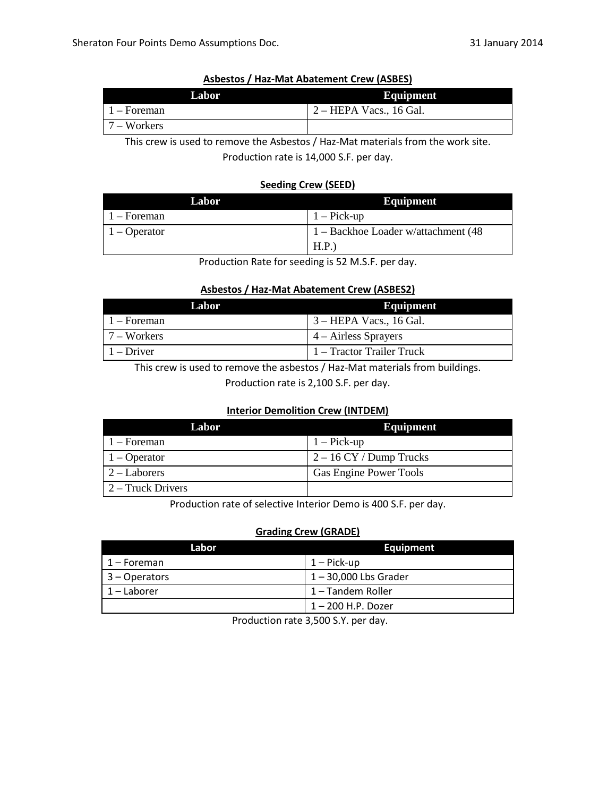| Labor                 | Equipment                         |
|-----------------------|-----------------------------------|
| $\vert$ 1 – Foreman   | $2 - \text{HEPA Vacs.}$ , 16 Gal. |
| $\sqrt{7 - W}$ orkers |                                   |

#### **Asbestos / Haz-Mat Abatement Crew (ASBES)**

This crew is used to remove the Asbestos / Haz-Mat materials from the work site.

Production rate is 14,000 S.F. per day.

#### **Seeding Crew (SEED)**

| Labor          | Equipment                                    |
|----------------|----------------------------------------------|
| $1 -$ Foreman  | $\vert 1 -$ Pick-up                          |
| $1 -$ Operator | $\vert$ 1 – Backhoe Loader w/attachment (48) |
|                | H.P.                                         |

Production Rate for seeding is 52 M.S.F. per day.

#### **Asbestos / Haz-Mat Abatement Crew (ASBES2)**

| Labor              | Equipment                 |
|--------------------|---------------------------|
| 1 – Foreman        | 3 – HEPA Vacs., 16 Gal.   |
| $17 - Wordsers$    | $4 - A$ irless Sprayers   |
| $\vert$ 1 – Driver | 1 – Tractor Trailer Truck |

This crew is used to remove the asbestos / Haz-Mat materials from buildings.

Production rate is 2,100 S.F. per day.

#### **Interior Demolition Crew (INTDEM)**

| Labor                                  | <b>Equipment</b>          |
|----------------------------------------|---------------------------|
| $1 -$ Foreman                          | $1 - Pick-up$             |
| $ 1 -$ Operator                        | $2 - 16$ CY / Dump Trucks |
| $\sqrt{2}$ – Laborers                  | Gas Engine Power Tools    |
| $\vert 2 - \text{Truck Drivers} \vert$ |                           |

Production rate of selective Interior Demo is 400 S.F. per day.

#### **Grading Crew (GRADE)**

| Labor            | <b>Equipment</b>        |
|------------------|-------------------------|
| 1 – Foreman      | $1 -$ Pick-up           |
| $ 3 -$ Operators | $1 - 30,000$ Lbs Grader |
| $ 1 -$ Laborer   | 1 – Tandem Roller       |
|                  | 1 – 200 H.P. Dozer      |

Production rate 3,500 S.Y. per day.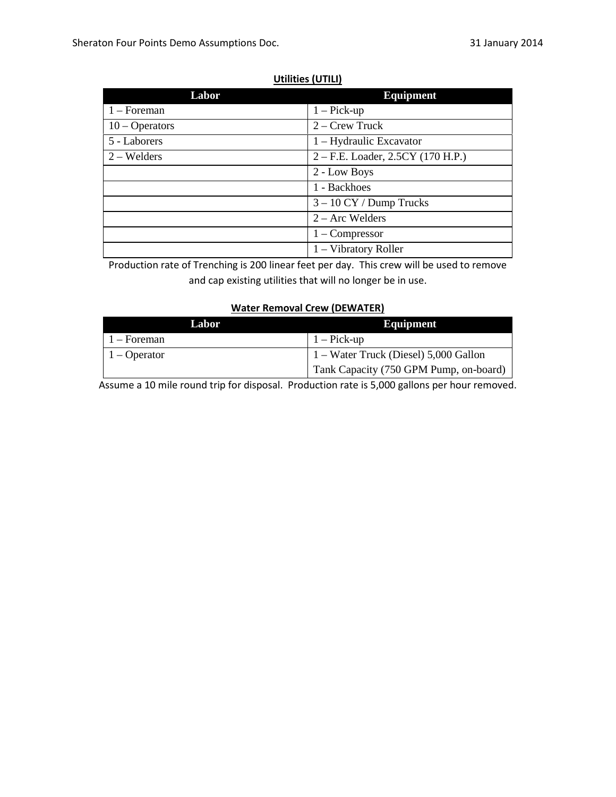### **Utilities (UTILI)**

| Labor            | <b>Equipment</b>                    |
|------------------|-------------------------------------|
| $1 -$ Foreman    | $1 - Pick-up$                       |
| $10 - Operators$ | $2 - C$ rew Truck                   |
| 5 - Laborers     | 1 – Hydraulic Excavator             |
| $2 - W$ elders   | $2 - F.E.$ Loader, 2.5CY (170 H.P.) |
|                  | 2 - Low Boys                        |
|                  | 1 - Backhoes                        |
|                  | $3 - 10$ CY / Dump Trucks           |
|                  | $2 - Arc$ Welders                   |
|                  | $1 -$ Compressor                    |
|                  | 1 – Vibratory Roller                |

Production rate of Trenching is 200 linear feet per day. This crew will be used to remove and cap existing utilities that will no longer be in use.

#### **Water Removal Crew (DEWATER)**

| Labor          | Equipment                                     |
|----------------|-----------------------------------------------|
| $1 -$ Foreman  | $1 - Pick-up$                                 |
| $1 - Operator$ | $\vert$ 1 – Water Truck (Diesel) 5,000 Gallon |
|                | Tank Capacity (750 GPM Pump, on-board)        |

Assume a 10 mile round trip for disposal. Production rate is 5,000 gallons per hour removed.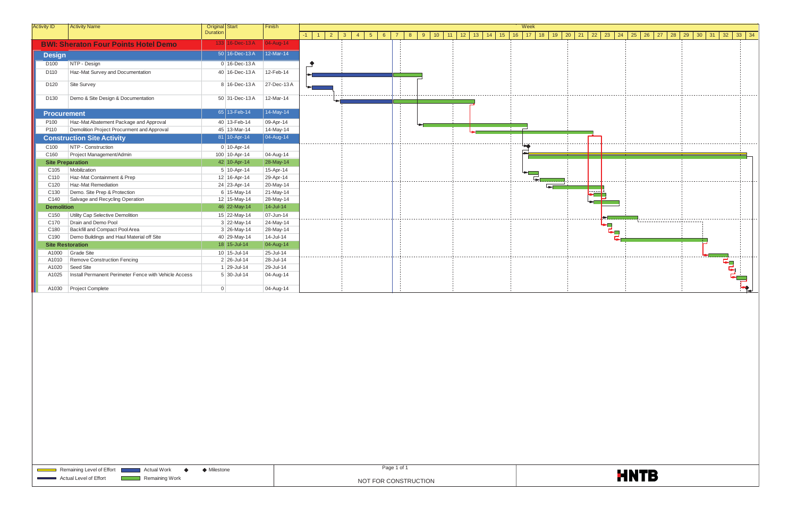| $\overline{2}$<br>10 <sup>7</sup><br>12<br>13<br>14<br>16<br>17<br>18<br>19<br>$-1$<br>$\mathbf{3}$<br>$5\overline{)}$<br>9<br>11<br>15<br>20<br>$\overline{1}$<br>$\overline{4}$<br>6<br>8<br>133 16-Dec-13A<br>04-Aug-14<br><b>BWI: Sheraton Four Points Hotel Demo</b><br>12-Mar-14<br>50 16-Dec-13 A<br><b>Design</b><br>NTP - Design<br>$0$ 16-Dec-13A<br>D <sub>100</sub><br>Haz-Mat Survey and Documentation<br>D <sub>110</sub><br>40 16-Dec-13 A<br>12-Feb-14<br>Site Survey<br>8 16-Dec-13 A<br>27-Dec-13 A<br>D <sub>120</sub><br>Demo & Site Design & Documentation<br>12-Mar-14<br>D <sub>130</sub><br>50 31-Dec-13A<br>14-May-14<br>$65$ 13-Feb-14<br><b>Procurement</b><br>P <sub>100</sub><br>Haz-Mat Abatement Package and Approval<br>40 13-Feb-14<br>09-Apr-14<br>P110<br>Demolition Project Procurment and Approval<br>45 13-Mar-14<br>14-May-14<br>$\vert$ 04-Aug-14<br>81 10-Apr-14<br><b>Construction Site Activity</b><br>NTP - Construction<br>C <sub>100</sub><br>$0$ 10-Apr-14<br>Project Management/Admin<br>100 10-Apr-14<br>C160<br>04-Aug-14<br>42 10-Apr-14<br>28-May-14<br><b>Site Preparation</b><br>Mobilization<br>C <sub>105</sub><br>$5 10-Apr-14$<br>15-Apr-14<br>Haz-Mat Containment & Prep<br>12 16-Apr-14<br>29-Apr-14<br>C110<br>Haz-Mat Remediation<br>24 23-Apr-14<br>C120<br>20-May-14<br>Demo. Site Prep & Protection<br>$6 15-May-14$<br>21-May-14<br>C <sub>130</sub><br>12 15-May-14<br>C140<br>Salvage and Recycling Operation<br>28-May-14<br>14-Jul-14<br>46 22-May-14<br><b>Demolition</b><br>15 22-May-14<br>07-Jun-14<br>Utility Cap Selective Demolition<br>C <sub>150</sub><br>Drain and Demo Pool<br>$3$ 22-May-14<br>24-May-14<br>C170<br>Backfill and Compact Pool Area<br>C180<br>$3 \mid 26$ -May-14<br>28-May-14<br>C190<br>Demo Buildings and Haul Material off Site<br>40 29-May-14<br>14-Jul-14<br>04-Aug-14<br>18 15-Jul-14<br><b>Site Restoration</b><br>25-Jul-14<br>Grade Site<br>$10$   15-Jul-14<br>A1000<br>28-Jul-14<br>Remove Construction Fencing<br>A1010<br>2 26-Jul-14<br>29-Jul-14<br>A1020<br>Seed Site<br>1 29-Jul-14<br>Install Permanent Perimeter Fence with Vehicle Access<br>04-Aug-14<br>A1025<br>$5 \mid 30 -$ Jul-14<br>A1030<br>Project Complete<br>$\Omega$<br>04-Aug-14 | <b>Activity ID</b> | <b>Activity Name</b> | <b>Original</b> Start | Finish | Week |  |  |  |  |  |  |  |  |  |  |  |  |  |
|-----------------------------------------------------------------------------------------------------------------------------------------------------------------------------------------------------------------------------------------------------------------------------------------------------------------------------------------------------------------------------------------------------------------------------------------------------------------------------------------------------------------------------------------------------------------------------------------------------------------------------------------------------------------------------------------------------------------------------------------------------------------------------------------------------------------------------------------------------------------------------------------------------------------------------------------------------------------------------------------------------------------------------------------------------------------------------------------------------------------------------------------------------------------------------------------------------------------------------------------------------------------------------------------------------------------------------------------------------------------------------------------------------------------------------------------------------------------------------------------------------------------------------------------------------------------------------------------------------------------------------------------------------------------------------------------------------------------------------------------------------------------------------------------------------------------------------------------------------------------------------------------------------------------------------------------------------------------------------------------------------------------------------------------------------------------------------------------------------------------------------------------------------------------------------------------------------------------------------------------------------------------------|--------------------|----------------------|-----------------------|--------|------|--|--|--|--|--|--|--|--|--|--|--|--|--|
|                                                                                                                                                                                                                                                                                                                                                                                                                                                                                                                                                                                                                                                                                                                                                                                                                                                                                                                                                                                                                                                                                                                                                                                                                                                                                                                                                                                                                                                                                                                                                                                                                                                                                                                                                                                                                                                                                                                                                                                                                                                                                                                                                                                                                                                                       |                    |                      | <b>Duration</b>       |        |      |  |  |  |  |  |  |  |  |  |  |  |  |  |
|                                                                                                                                                                                                                                                                                                                                                                                                                                                                                                                                                                                                                                                                                                                                                                                                                                                                                                                                                                                                                                                                                                                                                                                                                                                                                                                                                                                                                                                                                                                                                                                                                                                                                                                                                                                                                                                                                                                                                                                                                                                                                                                                                                                                                                                                       |                    |                      |                       |        |      |  |  |  |  |  |  |  |  |  |  |  |  |  |
|                                                                                                                                                                                                                                                                                                                                                                                                                                                                                                                                                                                                                                                                                                                                                                                                                                                                                                                                                                                                                                                                                                                                                                                                                                                                                                                                                                                                                                                                                                                                                                                                                                                                                                                                                                                                                                                                                                                                                                                                                                                                                                                                                                                                                                                                       |                    |                      |                       |        |      |  |  |  |  |  |  |  |  |  |  |  |  |  |
|                                                                                                                                                                                                                                                                                                                                                                                                                                                                                                                                                                                                                                                                                                                                                                                                                                                                                                                                                                                                                                                                                                                                                                                                                                                                                                                                                                                                                                                                                                                                                                                                                                                                                                                                                                                                                                                                                                                                                                                                                                                                                                                                                                                                                                                                       |                    |                      |                       |        |      |  |  |  |  |  |  |  |  |  |  |  |  |  |
|                                                                                                                                                                                                                                                                                                                                                                                                                                                                                                                                                                                                                                                                                                                                                                                                                                                                                                                                                                                                                                                                                                                                                                                                                                                                                                                                                                                                                                                                                                                                                                                                                                                                                                                                                                                                                                                                                                                                                                                                                                                                                                                                                                                                                                                                       |                    |                      |                       |        |      |  |  |  |  |  |  |  |  |  |  |  |  |  |
|                                                                                                                                                                                                                                                                                                                                                                                                                                                                                                                                                                                                                                                                                                                                                                                                                                                                                                                                                                                                                                                                                                                                                                                                                                                                                                                                                                                                                                                                                                                                                                                                                                                                                                                                                                                                                                                                                                                                                                                                                                                                                                                                                                                                                                                                       |                    |                      |                       |        |      |  |  |  |  |  |  |  |  |  |  |  |  |  |
|                                                                                                                                                                                                                                                                                                                                                                                                                                                                                                                                                                                                                                                                                                                                                                                                                                                                                                                                                                                                                                                                                                                                                                                                                                                                                                                                                                                                                                                                                                                                                                                                                                                                                                                                                                                                                                                                                                                                                                                                                                                                                                                                                                                                                                                                       |                    |                      |                       |        |      |  |  |  |  |  |  |  |  |  |  |  |  |  |
|                                                                                                                                                                                                                                                                                                                                                                                                                                                                                                                                                                                                                                                                                                                                                                                                                                                                                                                                                                                                                                                                                                                                                                                                                                                                                                                                                                                                                                                                                                                                                                                                                                                                                                                                                                                                                                                                                                                                                                                                                                                                                                                                                                                                                                                                       |                    |                      |                       |        |      |  |  |  |  |  |  |  |  |  |  |  |  |  |
|                                                                                                                                                                                                                                                                                                                                                                                                                                                                                                                                                                                                                                                                                                                                                                                                                                                                                                                                                                                                                                                                                                                                                                                                                                                                                                                                                                                                                                                                                                                                                                                                                                                                                                                                                                                                                                                                                                                                                                                                                                                                                                                                                                                                                                                                       |                    |                      |                       |        |      |  |  |  |  |  |  |  |  |  |  |  |  |  |
|                                                                                                                                                                                                                                                                                                                                                                                                                                                                                                                                                                                                                                                                                                                                                                                                                                                                                                                                                                                                                                                                                                                                                                                                                                                                                                                                                                                                                                                                                                                                                                                                                                                                                                                                                                                                                                                                                                                                                                                                                                                                                                                                                                                                                                                                       |                    |                      |                       |        |      |  |  |  |  |  |  |  |  |  |  |  |  |  |
|                                                                                                                                                                                                                                                                                                                                                                                                                                                                                                                                                                                                                                                                                                                                                                                                                                                                                                                                                                                                                                                                                                                                                                                                                                                                                                                                                                                                                                                                                                                                                                                                                                                                                                                                                                                                                                                                                                                                                                                                                                                                                                                                                                                                                                                                       |                    |                      |                       |        |      |  |  |  |  |  |  |  |  |  |  |  |  |  |
|                                                                                                                                                                                                                                                                                                                                                                                                                                                                                                                                                                                                                                                                                                                                                                                                                                                                                                                                                                                                                                                                                                                                                                                                                                                                                                                                                                                                                                                                                                                                                                                                                                                                                                                                                                                                                                                                                                                                                                                                                                                                                                                                                                                                                                                                       |                    |                      |                       |        |      |  |  |  |  |  |  |  |  |  |  |  |  |  |
|                                                                                                                                                                                                                                                                                                                                                                                                                                                                                                                                                                                                                                                                                                                                                                                                                                                                                                                                                                                                                                                                                                                                                                                                                                                                                                                                                                                                                                                                                                                                                                                                                                                                                                                                                                                                                                                                                                                                                                                                                                                                                                                                                                                                                                                                       |                    |                      |                       |        |      |  |  |  |  |  |  |  |  |  |  |  |  |  |
|                                                                                                                                                                                                                                                                                                                                                                                                                                                                                                                                                                                                                                                                                                                                                                                                                                                                                                                                                                                                                                                                                                                                                                                                                                                                                                                                                                                                                                                                                                                                                                                                                                                                                                                                                                                                                                                                                                                                                                                                                                                                                                                                                                                                                                                                       |                    |                      |                       |        |      |  |  |  |  |  |  |  |  |  |  |  |  |  |
|                                                                                                                                                                                                                                                                                                                                                                                                                                                                                                                                                                                                                                                                                                                                                                                                                                                                                                                                                                                                                                                                                                                                                                                                                                                                                                                                                                                                                                                                                                                                                                                                                                                                                                                                                                                                                                                                                                                                                                                                                                                                                                                                                                                                                                                                       |                    |                      |                       |        |      |  |  |  |  |  |  |  |  |  |  |  |  |  |
|                                                                                                                                                                                                                                                                                                                                                                                                                                                                                                                                                                                                                                                                                                                                                                                                                                                                                                                                                                                                                                                                                                                                                                                                                                                                                                                                                                                                                                                                                                                                                                                                                                                                                                                                                                                                                                                                                                                                                                                                                                                                                                                                                                                                                                                                       |                    |                      |                       |        |      |  |  |  |  |  |  |  |  |  |  |  |  |  |
|                                                                                                                                                                                                                                                                                                                                                                                                                                                                                                                                                                                                                                                                                                                                                                                                                                                                                                                                                                                                                                                                                                                                                                                                                                                                                                                                                                                                                                                                                                                                                                                                                                                                                                                                                                                                                                                                                                                                                                                                                                                                                                                                                                                                                                                                       |                    |                      |                       |        |      |  |  |  |  |  |  |  |  |  |  |  |  |  |
|                                                                                                                                                                                                                                                                                                                                                                                                                                                                                                                                                                                                                                                                                                                                                                                                                                                                                                                                                                                                                                                                                                                                                                                                                                                                                                                                                                                                                                                                                                                                                                                                                                                                                                                                                                                                                                                                                                                                                                                                                                                                                                                                                                                                                                                                       |                    |                      |                       |        |      |  |  |  |  |  |  |  |  |  |  |  |  |  |
|                                                                                                                                                                                                                                                                                                                                                                                                                                                                                                                                                                                                                                                                                                                                                                                                                                                                                                                                                                                                                                                                                                                                                                                                                                                                                                                                                                                                                                                                                                                                                                                                                                                                                                                                                                                                                                                                                                                                                                                                                                                                                                                                                                                                                                                                       |                    |                      |                       |        |      |  |  |  |  |  |  |  |  |  |  |  |  |  |
|                                                                                                                                                                                                                                                                                                                                                                                                                                                                                                                                                                                                                                                                                                                                                                                                                                                                                                                                                                                                                                                                                                                                                                                                                                                                                                                                                                                                                                                                                                                                                                                                                                                                                                                                                                                                                                                                                                                                                                                                                                                                                                                                                                                                                                                                       |                    |                      |                       |        |      |  |  |  |  |  |  |  |  |  |  |  |  |  |
|                                                                                                                                                                                                                                                                                                                                                                                                                                                                                                                                                                                                                                                                                                                                                                                                                                                                                                                                                                                                                                                                                                                                                                                                                                                                                                                                                                                                                                                                                                                                                                                                                                                                                                                                                                                                                                                                                                                                                                                                                                                                                                                                                                                                                                                                       |                    |                      |                       |        |      |  |  |  |  |  |  |  |  |  |  |  |  |  |
|                                                                                                                                                                                                                                                                                                                                                                                                                                                                                                                                                                                                                                                                                                                                                                                                                                                                                                                                                                                                                                                                                                                                                                                                                                                                                                                                                                                                                                                                                                                                                                                                                                                                                                                                                                                                                                                                                                                                                                                                                                                                                                                                                                                                                                                                       |                    |                      |                       |        |      |  |  |  |  |  |  |  |  |  |  |  |  |  |
|                                                                                                                                                                                                                                                                                                                                                                                                                                                                                                                                                                                                                                                                                                                                                                                                                                                                                                                                                                                                                                                                                                                                                                                                                                                                                                                                                                                                                                                                                                                                                                                                                                                                                                                                                                                                                                                                                                                                                                                                                                                                                                                                                                                                                                                                       |                    |                      |                       |        |      |  |  |  |  |  |  |  |  |  |  |  |  |  |
|                                                                                                                                                                                                                                                                                                                                                                                                                                                                                                                                                                                                                                                                                                                                                                                                                                                                                                                                                                                                                                                                                                                                                                                                                                                                                                                                                                                                                                                                                                                                                                                                                                                                                                                                                                                                                                                                                                                                                                                                                                                                                                                                                                                                                                                                       |                    |                      |                       |        |      |  |  |  |  |  |  |  |  |  |  |  |  |  |
|                                                                                                                                                                                                                                                                                                                                                                                                                                                                                                                                                                                                                                                                                                                                                                                                                                                                                                                                                                                                                                                                                                                                                                                                                                                                                                                                                                                                                                                                                                                                                                                                                                                                                                                                                                                                                                                                                                                                                                                                                                                                                                                                                                                                                                                                       |                    |                      |                       |        |      |  |  |  |  |  |  |  |  |  |  |  |  |  |
|                                                                                                                                                                                                                                                                                                                                                                                                                                                                                                                                                                                                                                                                                                                                                                                                                                                                                                                                                                                                                                                                                                                                                                                                                                                                                                                                                                                                                                                                                                                                                                                                                                                                                                                                                                                                                                                                                                                                                                                                                                                                                                                                                                                                                                                                       |                    |                      |                       |        |      |  |  |  |  |  |  |  |  |  |  |  |  |  |
|                                                                                                                                                                                                                                                                                                                                                                                                                                                                                                                                                                                                                                                                                                                                                                                                                                                                                                                                                                                                                                                                                                                                                                                                                                                                                                                                                                                                                                                                                                                                                                                                                                                                                                                                                                                                                                                                                                                                                                                                                                                                                                                                                                                                                                                                       |                    |                      |                       |        |      |  |  |  |  |  |  |  |  |  |  |  |  |  |
|                                                                                                                                                                                                                                                                                                                                                                                                                                                                                                                                                                                                                                                                                                                                                                                                                                                                                                                                                                                                                                                                                                                                                                                                                                                                                                                                                                                                                                                                                                                                                                                                                                                                                                                                                                                                                                                                                                                                                                                                                                                                                                                                                                                                                                                                       |                    |                      |                       |        |      |  |  |  |  |  |  |  |  |  |  |  |  |  |
|                                                                                                                                                                                                                                                                                                                                                                                                                                                                                                                                                                                                                                                                                                                                                                                                                                                                                                                                                                                                                                                                                                                                                                                                                                                                                                                                                                                                                                                                                                                                                                                                                                                                                                                                                                                                                                                                                                                                                                                                                                                                                                                                                                                                                                                                       |                    |                      |                       |        |      |  |  |  |  |  |  |  |  |  |  |  |  |  |
|                                                                                                                                                                                                                                                                                                                                                                                                                                                                                                                                                                                                                                                                                                                                                                                                                                                                                                                                                                                                                                                                                                                                                                                                                                                                                                                                                                                                                                                                                                                                                                                                                                                                                                                                                                                                                                                                                                                                                                                                                                                                                                                                                                                                                                                                       |                    |                      |                       |        |      |  |  |  |  |  |  |  |  |  |  |  |  |  |



| <b>Actual Work</b><br>Remaining Level of Effort<br>Milestone | Page<br>1 of |  |
|--------------------------------------------------------------|--------------|--|
| Actual Level of Effort<br>Remaining Work                     | CONSTRUCTION |  |